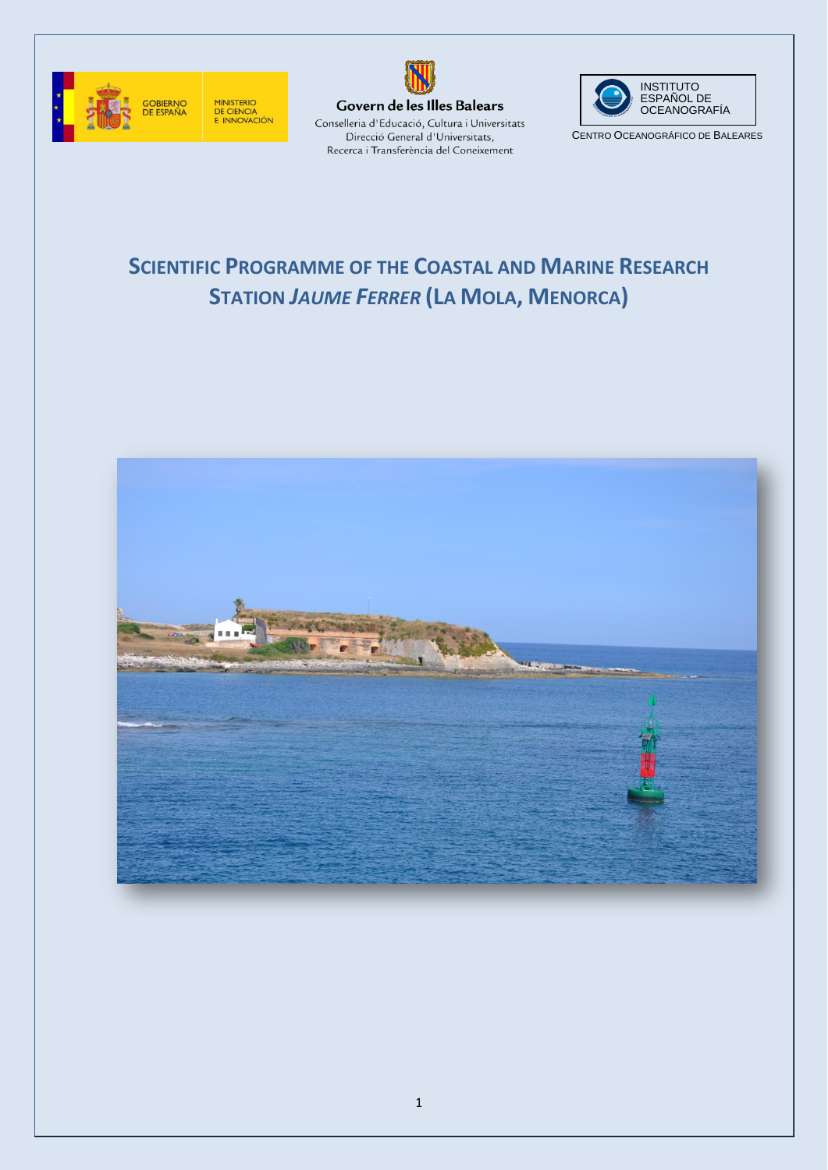





CENTRO OCEANOGRÁFICO DE BALEARES

# **SCIENTIFIC PROGRAMME OF THE COASTAL AND MARINE RESEARCH STATION** *JAUME FERRER* **(LA MOLA, MENORCA)**

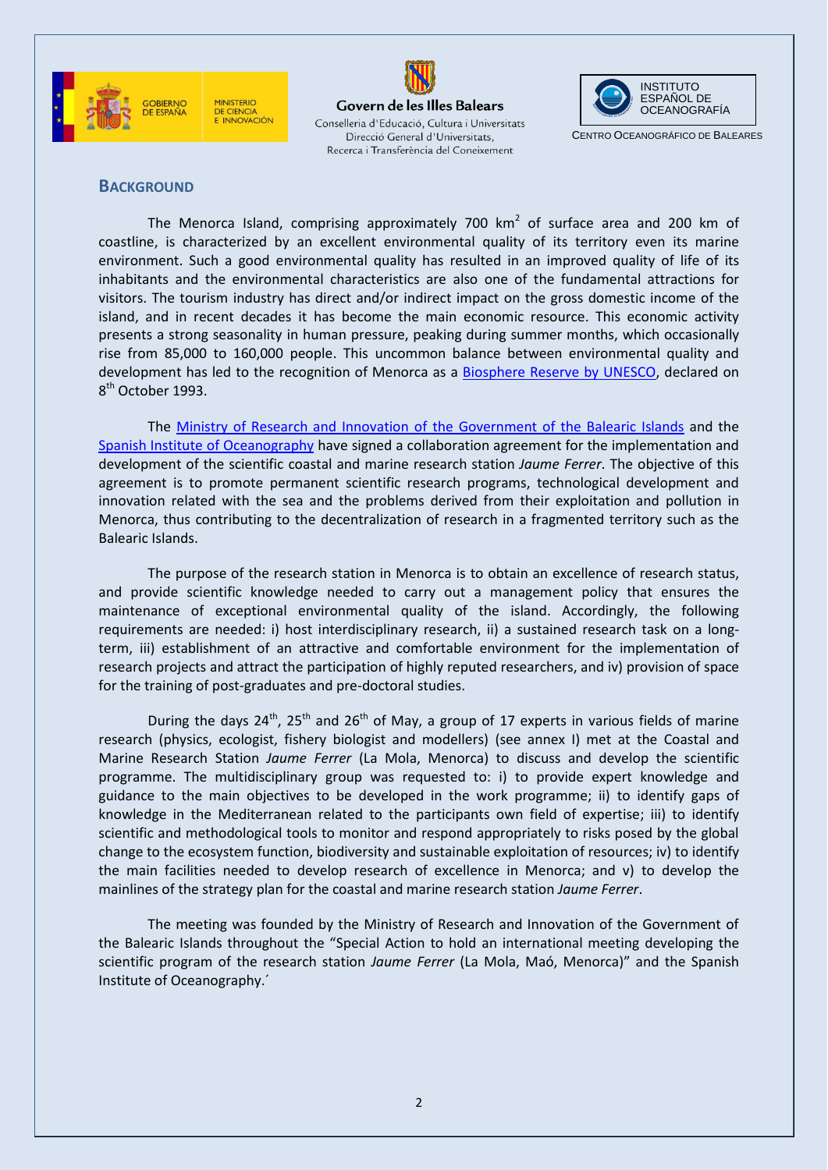





CENTRO OCEANOGRÁFICO DE BALEARES

#### **BACKGROUND**

The Menorca Island, comprising approximately 700  $km^2$  of surface area and 200 km of coastline, is characterized by an excellent environmental quality of its territory even its marine environment. Such a good environmental quality has resulted in an improved quality of life of its inhabitants and the environmental characteristics are also one of the fundamental attractions for visitors. The tourism industry has direct and/or indirect impact on the gross domestic income of the island, and in recent decades it has become the main economic resource. This economic activity presents a strong seasonality in human pressure, peaking during summer months, which occasionally rise from 85,000 to 160,000 people. This uncommon balance between environmental quality and development has led to the recognition of Menorca as a [Biosphere Reserve by UNESCO,](http://www.biosferamenorca.org/) declared on 8<sup>th</sup> October 1993.

The [Ministry of Research and Innovation of the Government of the Balearic Islands](http://www.caib.es/govern/organigrama/area.do?coduo=203&lang=ca) and the [Spanish Institute of Oceanography](http://www.ieo.es/) have signed a collaboration agreement for the implementation and development of the scientific coastal and marine research station *Jaume Ferrer*. The objective of this agreement is to promote permanent scientific research programs, technological development and innovation related with the sea and the problems derived from their exploitation and pollution in Menorca, thus contributing to the decentralization of research in a fragmented territory such as the Balearic Islands.

The purpose of the research station in Menorca is to obtain an excellence of research status, and provide scientific knowledge needed to carry out a management policy that ensures the maintenance of exceptional environmental quality of the island. Accordingly, the following requirements are needed: i) host interdisciplinary research, ii) a sustained research task on a longterm, iii) establishment of an attractive and comfortable environment for the implementation of research projects and attract the participation of highly reputed researchers, and iv) provision of space for the training of post-graduates and pre-doctoral studies.

During the days  $24^{th}$ ,  $25^{th}$  and  $26^{th}$  of May, a group of 17 experts in various fields of marine research (physics, ecologist, fishery biologist and modellers) (see annex I) met at the Coastal and Marine Research Station *Jaume Ferrer* (La Mola, Menorca) to discuss and develop the scientific programme. The multidisciplinary group was requested to: i) to provide expert knowledge and guidance to the main objectives to be developed in the work programme; ii) to identify gaps of knowledge in the Mediterranean related to the participants own field of expertise; iii) to identify scientific and methodological tools to monitor and respond appropriately to risks posed by the global change to the ecosystem function, biodiversity and sustainable exploitation of resources; iv) to identify the main facilities needed to develop research of excellence in Menorca; and v) to develop the mainlines of the strategy plan for the coastal and marine research station *Jaume Ferrer*.

The meeting was founded by the Ministry of Research and Innovation of the Government of the Balearic Islands throughout the "Special Action to hold an international meeting developing the scientific program of the research station *Jaume Ferrer* (La Mola, Maó, Menorca)" and the Spanish Institute of Oceanography.´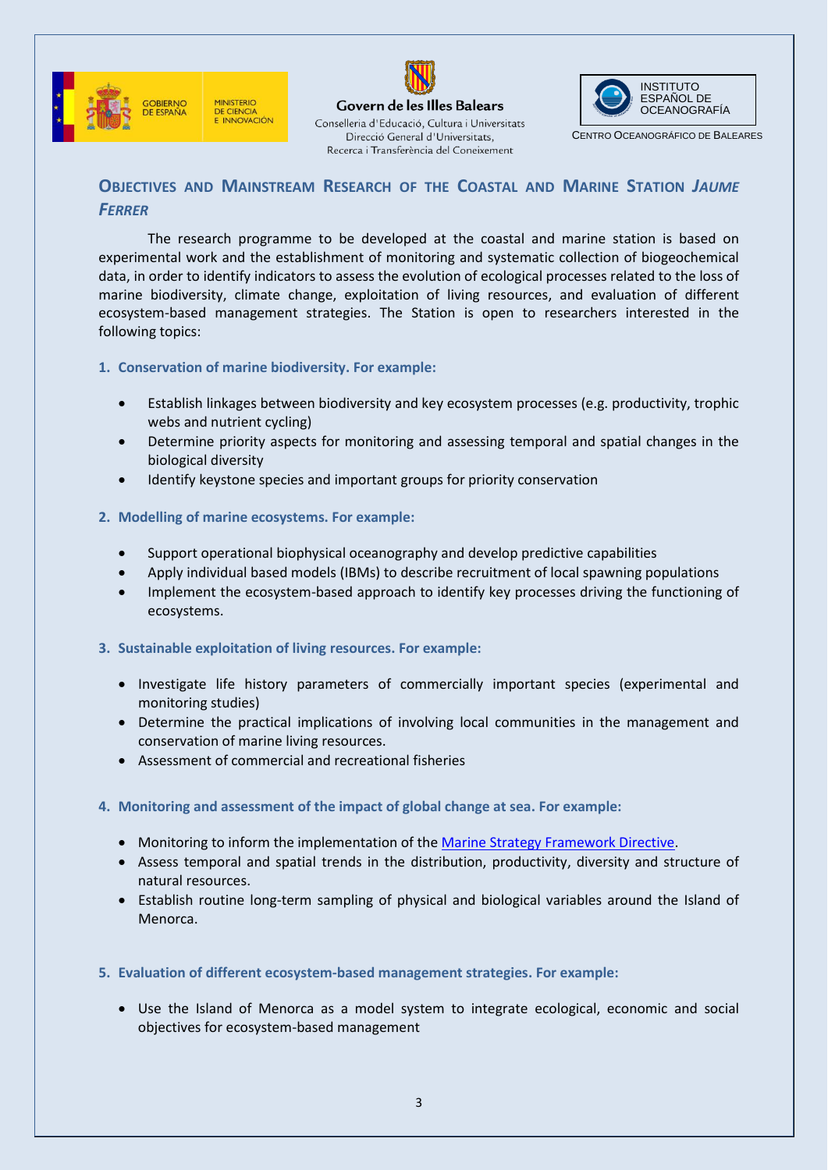



Direcció General d'Universitats, Recerca i Transferència del Coneixement INSTITUTO ESPAÑOL DE OCEANOGRAFÍA

CENTRO OCEANOGRÁFICO DE BALEARES

## **OBJECTIVES AND MAINSTREAM RESEARCH OF THE COASTAL AND MARINE STATION** *JAUME FERRER*

The research programme to be developed at the coastal and marine station is based on experimental work and the establishment of monitoring and systematic collection of biogeochemical data, in order to identify indicators to assess the evolution of ecological processes related to the loss of marine biodiversity, climate change, exploitation of living resources, and evaluation of different ecosystem-based management strategies. The Station is open to researchers interested in the following topics:

- **1. Conservation of marine biodiversity. For example:**
	- Establish linkages between biodiversity and key ecosystem processes (e.g. productivity, trophic webs and nutrient cycling)
	- Determine priority aspects for monitoring and assessing temporal and spatial changes in the biological diversity
	- Identify keystone species and important groups for priority conservation
- **2. Modelling of marine ecosystems. For example:**
	- Support operational biophysical oceanography and develop predictive capabilities
	- Apply individual based models (IBMs) to describe recruitment of local spawning populations
	- Implement the ecosystem-based approach to identify key processes driving the functioning of ecosystems.
- **3. Sustainable exploitation of living resources. For example:**
	- Investigate life history parameters of commercially important species (experimental and monitoring studies)
	- Determine the practical implications of involving local communities in the management and conservation of marine living resources.
	- Assessment of commercial and recreational fisheries
- **4. Monitoring and assessment of the impact of global change at sea. For example:**
	- Monitoring to inform the implementation of th[e Marine Strategy Framework Directive.](http://ec.europa.eu/environment/water/marine/directive_en.htm)
	- Assess temporal and spatial trends in the distribution, productivity, diversity and structure of natural resources.
	- Establish routine long-term sampling of physical and biological variables around the Island of Menorca.
- **5. Evaluation of different ecosystem-based management strategies. For example:**
	- Use the Island of Menorca as a model system to integrate ecological, economic and social objectives for ecosystem-based management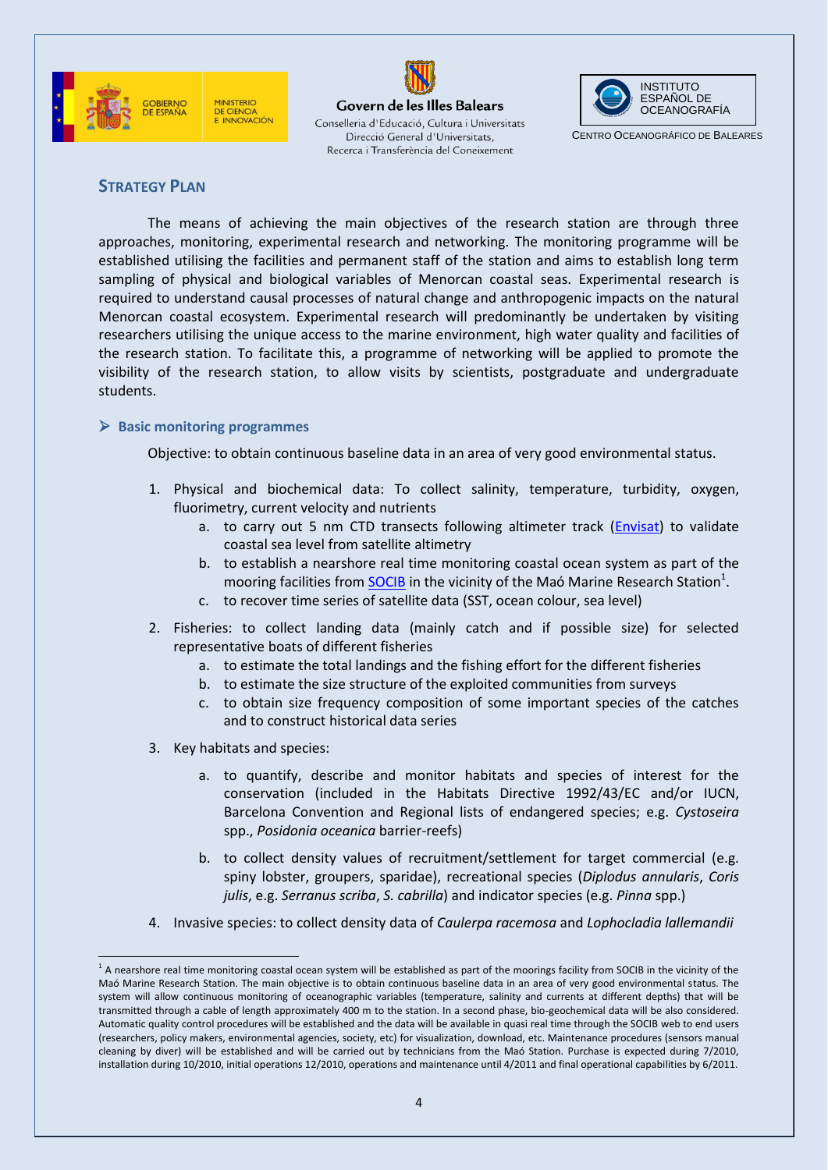





CENTRO OCEANOGRÁFICO DE BALEARES

### **STRATEGY PLAN**

The means of achieving the main objectives of the research station are through three approaches, monitoring, experimental research and networking. The monitoring programme will be established utilising the facilities and permanent staff of the station and aims to establish long term sampling of physical and biological variables of Menorcan coastal seas. Experimental research is required to understand causal processes of natural change and anthropogenic impacts on the natural Menorcan coastal ecosystem. Experimental research will predominantly be undertaken by visiting researchers utilising the unique access to the marine environment, high water quality and facilities of the research station. To facilitate this, a programme of networking will be applied to promote the visibility of the research station, to allow visits by scientists, postgraduate and undergraduate students.

#### **Basic monitoring programmes**

Objective: to obtain continuous baseline data in an area of very good environmental status.

- 1. Physical and biochemical data: To collect salinity, temperature, turbidity, oxygen, fluorimetry, current velocity and nutrients
	- a. to carry out 5 nm CTD transects following altimeter track [\(Envisat\)](http://envisat.esa.int/earth/www/area/index.cfm?fareaid=6) to validate coastal sea level from satellite altimetry
	- b. to establish a nearshore real time monitoring coastal ocean system as part of the mooring facilities from **SOCIB** in the vicinity of the Maó Marine Research Station<sup>1</sup>.
	- c. to recover time series of satellite data (SST, ocean colour, sea level)
- 2. Fisheries: to collect landing data (mainly catch and if possible size) for selected representative boats of different fisheries
	- a. to estimate the total landings and the fishing effort for the different fisheries
	- b. to estimate the size structure of the exploited communities from surveys
	- c. to obtain size frequency composition of some important species of the catches and to construct historical data series
- 3. Key habitats and species:
	- a. to quantify, describe and monitor habitats and species of interest for the conservation (included in the Habitats Directive 1992/43/EC and/or IUCN, Barcelona Convention and Regional lists of endangered species; e.g. *Cystoseira* spp., *Posidonia oceanica* barrier-reefs)
	- b. to collect density values of recruitment/settlement for target commercial (e.g. spiny lobster, groupers, sparidae), recreational species (*Diplodus annularis*, *Coris julis*, e.g. *Serranus scriba*, *S. cabrilla*) and indicator species (e.g. *Pinna* spp.)
- 4. Invasive species: to collect density data of *Caulerpa racemosa* and *Lophocladia lallemandii*

 $\overline{a}$  $^1$  A nearshore real time monitoring coastal ocean system will be established as part of the moorings facility from SOCIB in the vicinity of the Maó Marine Research Station. The main objective is to obtain continuous baseline data in an area of very good environmental status. The system will allow continuous monitoring of oceanographic variables (temperature, salinity and currents at different depths) that will be transmitted through a cable of length approximately 400 m to the station. In a second phase, bio-geochemical data will be also considered. Automatic quality control procedures will be established and the data will be available in quasi real time through the SOCIB web to end users (researchers, policy makers, environmental agencies, society, etc) for visualization, download, etc. Maintenance procedures (sensors manual cleaning by diver) will be established and will be carried out by technicians from the Maó Station. Purchase is expected during 7/2010, installation during 10/2010, initial operations 12/2010, operations and maintenance until 4/2011 and final operational capabilities by 6/2011.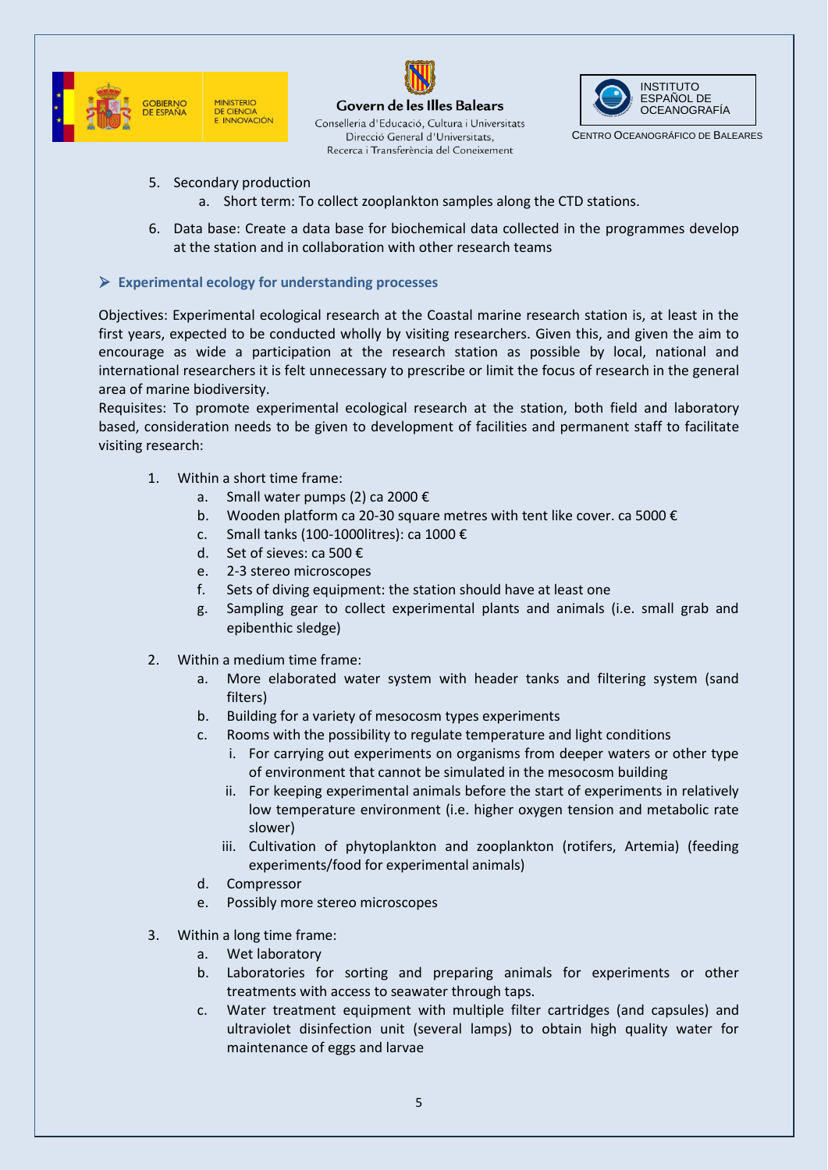





CENTRO OCEANOGRÁFICO DE BALEARES

- 5. Secondary production
	- a. Short term: To collect zooplankton samples along the CTD stations.
- 6. Data base: Create a data base for biochemical data collected in the programmes develop at the station and in collaboration with other research teams

#### **Experimental ecology for understanding processes**

Objectives: Experimental ecological research at the Coastal marine research station is, at least in the first years, expected to be conducted wholly by visiting researchers. Given this, and given the aim to encourage as wide a participation at the research station as possible by local, national and international researchers it is felt unnecessary to prescribe or limit the focus of research in the general area of marine biodiversity.

Requisites: To promote experimental ecological research at the station, both field and laboratory based, consideration needs to be given to development of facilities and permanent staff to facilitate visiting research:

- 1. Within a short time frame:
	- a. Small water pumps (2) ca 2000 €
	- b. Wooden platform ca 20-30 square metres with tent like cover. ca 5000 €
	- c. Small tanks (100-1000litres): ca 1000 €
	- d. Set of sieves: ca 500 €
	- e. 2-3 stereo microscopes
	- f. Sets of diving equipment: the station should have at least one
	- g. Sampling gear to collect experimental plants and animals (i.e. small grab and epibenthic sledge)
- 2. Within a medium time frame:
	- a. More elaborated water system with header tanks and filtering system (sand filters)
	- b. Building for a variety of mesocosm types experiments
	- c. Rooms with the possibility to regulate temperature and light conditions
		- i. For carrying out experiments on organisms from deeper waters or other type of environment that cannot be simulated in the mesocosm building
		- ii. For keeping experimental animals before the start of experiments in relatively low temperature environment (i.e. higher oxygen tension and metabolic rate slower)
		- iii. Cultivation of phytoplankton and zooplankton (rotifers, Artemia) (feeding experiments/food for experimental animals)
	- d. Compressor
	- e. Possibly more stereo microscopes
- 3. Within a long time frame:
	- a. Wet laboratory
	- b. Laboratories for sorting and preparing animals for experiments or other treatments with access to seawater through taps.
	- c. Water treatment equipment with multiple filter cartridges (and capsules) and ultraviolet disinfection unit (several lamps) to obtain high quality water for maintenance of eggs and larvae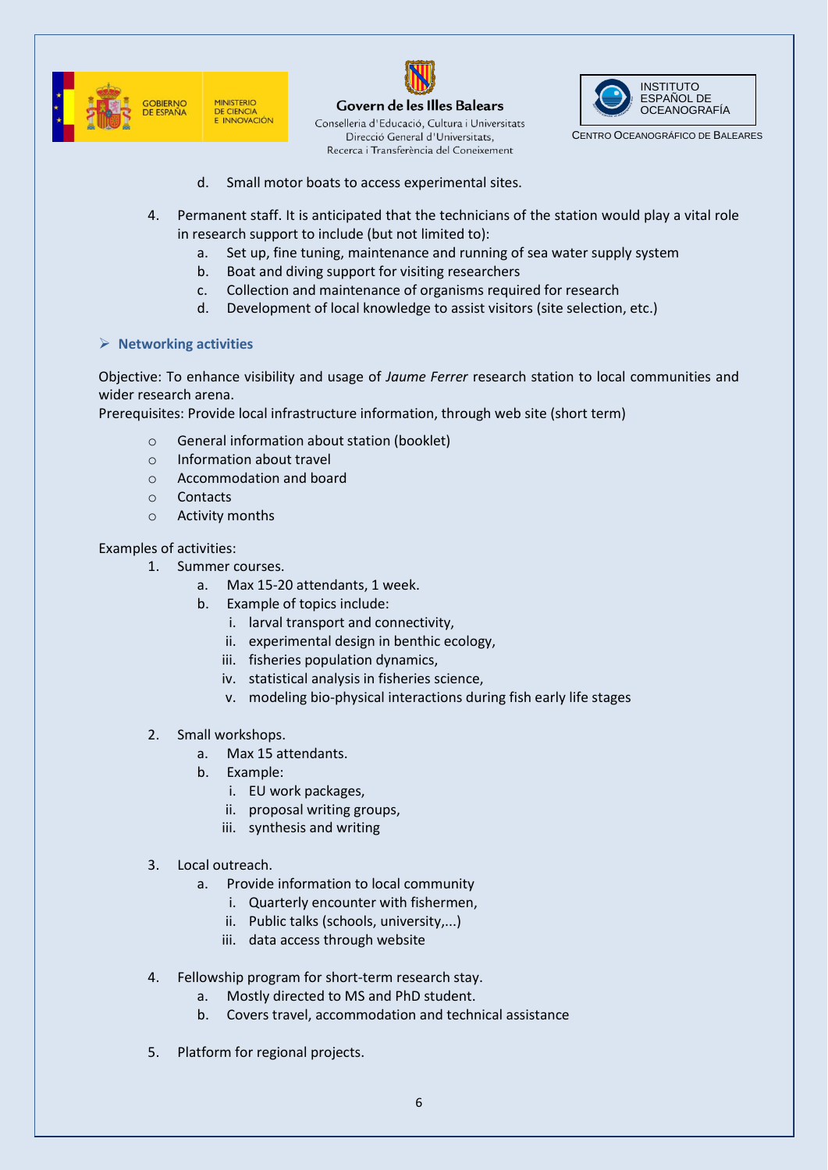



Govern de les Illes Balears Conselleria d'Educació, Cultura i Universitats Direcció General d'Universitats, Recerca i Transferència del Coneixement



CENTRO OCEANOGRÁFICO DE BALEARES

- d. Small motor boats to access experimental sites.
- 4. Permanent staff. It is anticipated that the technicians of the station would play a vital role in research support to include (but not limited to):
	- a. Set up, fine tuning, maintenance and running of sea water supply system
	- b. Boat and diving support for visiting researchers
	- c. Collection and maintenance of organisms required for research
	- d. Development of local knowledge to assist visitors (site selection, etc.)

#### **Networking activities**

Objective: To enhance visibility and usage of *Jaume Ferrer* research station to local communities and wider research arena.

Prerequisites: Provide local infrastructure information, through web site (short term)

- o General information about station (booklet)
- o Information about travel
- o Accommodation and board
- o Contacts
- o Activity months

Examples of activities:

- 1. Summer courses.
	- a. Max 15-20 attendants, 1 week.
	- b. Example of topics include:
		- i. larval transport and connectivity,
		- ii. experimental design in benthic ecology,
		- iii. fisheries population dynamics,
		- iv. statistical analysis in fisheries science,
		- v. modeling bio-physical interactions during fish early life stages
- 2. Small workshops.
	- a. Max 15 attendants.
	- b. Example:
		- i. EU work packages,
		- ii. proposal writing groups,
		- iii. synthesis and writing
- 3. Local outreach.
	- a. Provide information to local community
		- i. Quarterly encounter with fishermen,
		- ii. Public talks (schools, university,...)
		- iii. data access through website
- 4. Fellowship program for short-term research stay.
	- a. Mostly directed to MS and PhD student.
	- b. Covers travel, accommodation and technical assistance
- 5. Platform for regional projects.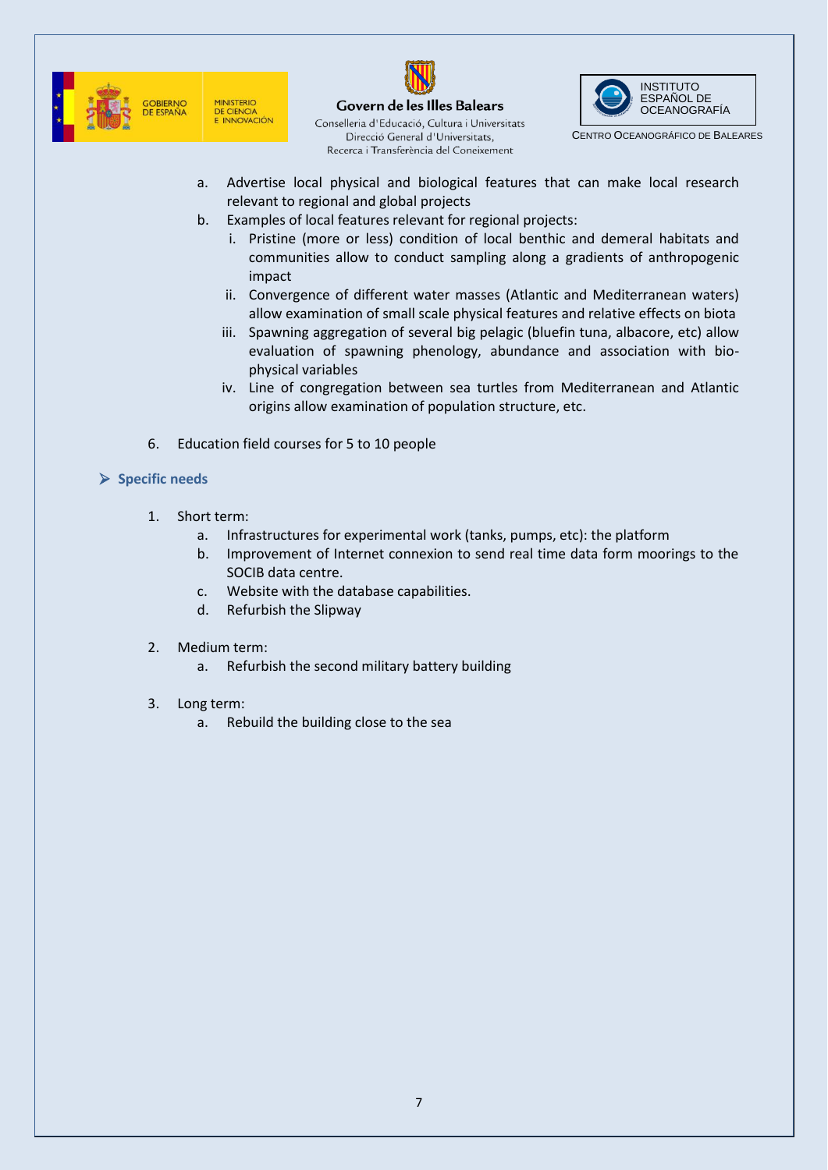





CENTRO OCEANOGRÁFICO DE BALEARES

- a. Advertise local physical and biological features that can make local research relevant to regional and global projects
- b. Examples of local features relevant for regional projects:
	- i. Pristine (more or less) condition of local benthic and demeral habitats and communities allow to conduct sampling along a gradients of anthropogenic impact
	- ii. Convergence of different water masses (Atlantic and Mediterranean waters) allow examination of small scale physical features and relative effects on biota
	- iii. Spawning aggregation of several big pelagic (bluefin tuna, albacore, etc) allow evaluation of spawning phenology, abundance and association with biophysical variables
	- iv. Line of congregation between sea turtles from Mediterranean and Atlantic origins allow examination of population structure, etc.
- 6. Education field courses for 5 to 10 people

## **Specific needs**

- 1. Short term:
	- a. Infrastructures for experimental work (tanks, pumps, etc): the platform
	- b. Improvement of Internet connexion to send real time data form moorings to the SOCIB data centre.
	- c. Website with the database capabilities.
	- d. Refurbish the Slipway
- 2. Medium term:
	- a. Refurbish the second military battery building
- 3. Long term:
	- a. Rebuild the building close to the sea